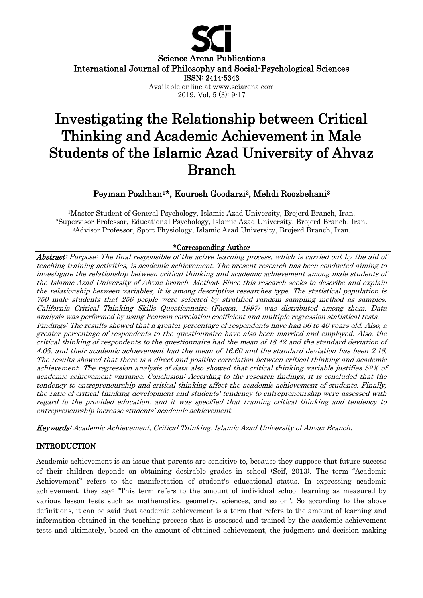

#### Science Arena Publications International Journal of Philosophy and Social-Psychological Sciences ISSN: 2414-5343

Available online at www.sciarena.com 2019, Vol, 5 (3): 9-17

# Investigating the Relationship between Critical Thinking and Academic Achievement in Male Students of the Islamic Azad University of Ahvaz Branch

# Peyman Pozhhan1\*, Kourosh Goodarzi2, Mehdi Roozbehani<sup>3</sup>

<sup>1</sup>Master Student of General Psychology, Islamic Azad University, Brojerd Branch, Iran. <sup>2</sup>Supervisor Professor, Educational Psychology, Islamic Azad University, Brojerd Branch, Iran. <sup>3</sup>Advisor Professor, Sport Physiology, Islamic Azad University, Brojerd Branch, Iran.

### \*Corresponding Author

Abstract: Purpose: The final responsible of the active learning process, which is carried out by the aid of teaching training activities, is academic achievement. The present research has been conducted aiming to investigate the relationship between critical thinking and academic achievement among male students of the Islamic Azad University of Ahvaz branch. Method: Since this research seeks to describe and explain the relationship between variables, it is among descriptive researches type. The statistical population is 750 male students that 256 people were selected by stratified random sampling method as samples. California Critical Thinking Skills Questionnaire (Facion, 1997) was distributed among them. Data analysis was performed by using Pearson correlation coefficient and multiple regression statistical tests. Findings: The results showed that a greater percentage of respondents have had 36 to 40 years old. Also, a greater percentage of respondents to the questionnaire have also been married and employed. Also, the critical thinking of respondents to the questionnaire had the mean of 18.42 and the standard deviation of 4.05, and their academic achievement had the mean of 16.60 and the standard deviation has been 2.16. The results showed that there is a direct and positive correlation between critical thinking and academic achievement. The regression analysis of data also showed that critical thinking variable justifies 52% of academic achievement variance. Conclusion: According to the research findings, it is concluded that the tendency to entrepreneurship and critical thinking affect the academic achievement of students. Finally, the ratio of critical thinking development and students' tendency to entrepreneurship were assessed with regard to the provided education, and it was specified that training critical thinking and tendency to entrepreneurship increase students' academic achievement.

Keywords: Academic Achievement, Critical Thinking, Islamic Azad University of Ahvaz Branch.

## INTRODUCTION

Academic achievement is an issue that parents are sensitive to, because they suppose that future success of their children depends on obtaining desirable grades in school (Seif, 2013). The term "Academic Achievement" refers to the manifestation of student's educational status. In expressing academic achievement, they say: "This term refers to the amount of individual school learning as measured by various lesson tests such as mathematics, geometry, sciences, and so on". So according to the above definitions, it can be said that academic achievement is a term that refers to the amount of learning and information obtained in the teaching process that is assessed and trained by the academic achievement tests and ultimately, based on the amount of obtained achievement, the judgment and decision making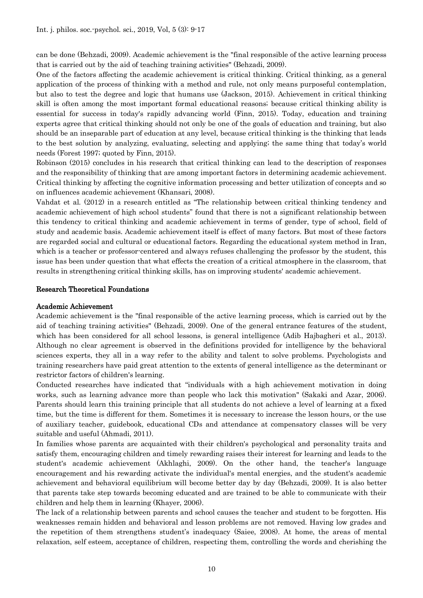can be done (Behzadi, 2009). Academic achievement is the "final responsible of the active learning process that is carried out by the aid of teaching training activities" (Behzadi, 2009).

One of the factors affecting the academic achievement is critical thinking. Critical thinking, as a general application of the process of thinking with a method and rule, not only means purposeful contemplation, but also to test the degree and logic that humans use (Jackson, 2015). Achievement in critical thinking skill is often among the most important formal educational reasons; because critical thinking ability is essential for success in today's rapidly advancing world (Finn, 2015). Today, education and training experts agree that critical thinking should not only be one of the goals of education and training, but also should be an inseparable part of education at any level, because critical thinking is the thinking that leads to the best solution by analyzing, evaluating, selecting and applying; the same thing that today's world needs (Forest 1997; quoted by Finn, 2015).

Robinson (2015) concludes in his research that critical thinking can lead to the description of responses and the responsibility of thinking that are among important factors in determining academic achievement. Critical thinking by affecting the cognitive information processing and better utilization of concepts and so on influences academic achievement (Khansari, 2008).

Vahdat et al. (2012) in a research entitled as "The relationship between critical thinking tendency and academic achievement of high school students" found that there is not a significant relationship between this tendency to critical thinking and academic achievement in terms of gender, type of school, field of study and academic basis. Academic achievement itself is effect of many factors. But most of these factors are regarded social and cultural or educational factors. Regarding the educational system method in Iran, which is a teacher or professor-centered and always refuses challenging the professor by the student, this issue has been under question that what effects the creation of a critical atmosphere in the classroom, that results in strengthening critical thinking skills, has on improving students' academic achievement.

#### Research Theoretical Foundations

#### Academic Achievement

Academic achievement is the "final responsible of the active learning process, which is carried out by the aid of teaching training activities" (Behzadi, 2009). One of the general entrance features of the student, which has been considered for all school lessons, is general intelligence (Adib Hajbagheri et al., 2013). Although no clear agreement is observed in the definitions provided for intelligence by the behavioral sciences experts, they all in a way refer to the ability and talent to solve problems. Psychologists and training researchers have paid great attention to the extents of general intelligence as the determinant or restrictor factors of children's learning.

Conducted researches have indicated that "individuals with a high achievement motivation in doing works, such as learning advance more than people who lack this motivation" (Sakaki and Azar, 2006). Parents should learn this training principle that all students do not achieve a level of learning at a fixed time, but the time is different for them. Sometimes it is necessary to increase the lesson hours, or the use of auxiliary teacher, guidebook, educational CDs and attendance at compensatory classes will be very suitable and useful (Ahmadi, 2011).

In families whose parents are acquainted with their children's psychological and personality traits and satisfy them, encouraging children and timely rewarding raises their interest for learning and leads to the student's academic achievement (Akhlaghi, 2009). On the other hand, the teacher's language encouragement and his rewarding activate the individual's mental energies, and the student's academic achievement and behavioral equilibrium will become better day by day (Behzadi, 2009). It is also better that parents take step towards becoming educated and are trained to be able to communicate with their children and help them in learning (Khayer, 2006).

The lack of a relationship between parents and school causes the teacher and student to be forgotten. His weaknesses remain hidden and behavioral and lesson problems are not removed. Having low grades and the repetition of them strengthens student's inadequacy (Saiee, 2008). At home, the areas of mental relaxation, self esteem, acceptance of children, respecting them, controlling the words and cherishing the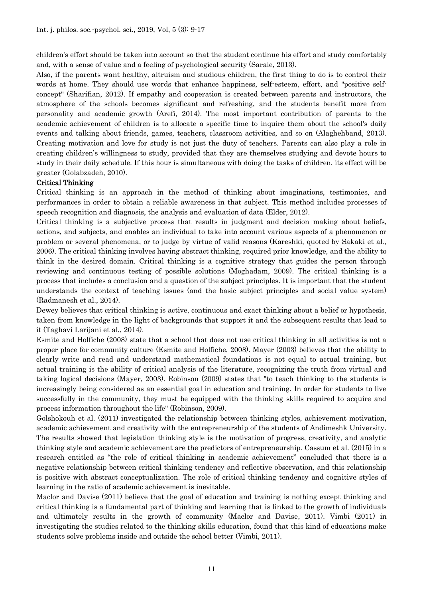children's effort should be taken into account so that the student continue his effort and study comfortably and, with a sense of value and a feeling of psychological security (Saraie, 2013).

Also, if the parents want healthy, altruism and studious children, the first thing to do is to control their words at home. They should use words that enhance happiness, self-esteem, effort, and "positive selfconcept" (Sharifian, 2012). If empathy and cooperation is created between parents and instructors, the atmosphere of the schools becomes significant and refreshing, and the students benefit more from personality and academic growth (Arefi, 2014). The most important contribution of parents to the academic achievement of children is to allocate a specific time to inquire them about the school's daily events and talking about friends, games, teachers, classroom activities, and so on (Alaghehband, 2013). Creating motivation and love for study is not just the duty of teachers. Parents can also play a role in creating children's willingness to study, provided that they are themselves studying and devote hours to study in their daily schedule. If this hour is simultaneous with doing the tasks of children, its effect will be greater (Golabzadeh, 2010).

#### Critical Thinking

Critical thinking is an approach in the method of thinking about imaginations, testimonies, and performances in order to obtain a reliable awareness in that subject. This method includes processes of speech recognition and diagnosis, the analysis and evaluation of data (Elder, 2012).

Critical thinking is a subjective process that results in judgment and decision making about beliefs, actions, and subjects, and enables an individual to take into account various aspects of a phenomenon or problem or several phenomena, or to judge by virtue of valid reasons (Kareshki, quoted by Sakaki et al., 2006). The critical thinking involves having abstract thinking, required prior knowledge, and the ability to think in the desired domain. Critical thinking is a cognitive strategy that guides the person through reviewing and continuous testing of possible solutions (Moghadam, 2009). The critical thinking is a process that includes a conclusion and a question of the subject principles. It is important that the student understands the context of teaching issues (and the basic subject principles and social value system) (Radmanesh et al., 2014).

Dewey believes that critical thinking is active, continuous and exact thinking about a belief or hypothesis, taken from knowledge in the light of backgrounds that support it and the subsequent results that lead to it (Taghavi Larijani et al., 2014).

Esmite and Holfiche (2008) state that a school that does not use critical thinking in all activities is not a proper place for community culture (Esmite and Holfiche, 2008). Mayer (2003) believes that the ability to clearly write and read and understand mathematical foundations is not equal to actual training, but actual training is the ability of critical analysis of the literature, recognizing the truth from virtual and taking logical decisions (Mayer, 2003). Robinson (2009) states that "to teach thinking to the students is increasingly being considered as an essential goal in education and training. In order for students to live successfully in the community, they must be equipped with the thinking skills required to acquire and process information throughout the life" (Robinson, 2009).

Golshokouh et al. (2011) investigated the relationship between thinking styles, achievement motivation, academic achievement and creativity with the entrepreneurship of the students of Andimeshk University. The results showed that legislation thinking style is the motivation of progress, creativity, and analytic thinking style and academic achievement are the predictors of entrepreneurship. Cassum et al. (2015) in a research entitled as "the role of critical thinking in academic achievement" concluded that there is a negative relationship between critical thinking tendency and reflective observation, and this relationship is positive with abstract conceptualization. The role of critical thinking tendency and cognitive styles of learning in the ratio of academic achievement is inevitable.

Maclor and Davise (2011) believe that the goal of education and training is nothing except thinking and critical thinking is a fundamental part of thinking and learning that is linked to the growth of individuals and ultimately results in the growth of community (Maclor and Davise, 2011). Vimbi (2011) in investigating the studies related to the thinking skills education, found that this kind of educations make students solve problems inside and outside the school better (Vimbi, 2011).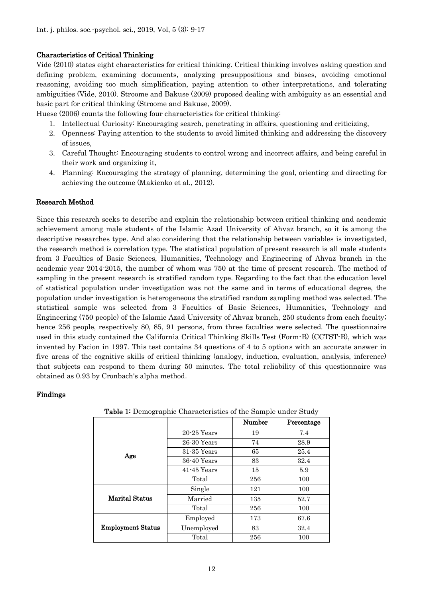#### Characteristics of Critical Thinking

Vide (2010) states eight characteristics for critical thinking. Critical thinking involves asking question and defining problem, examining documents, analyzing presuppositions and biases, avoiding emotional reasoning, avoiding too much simplification, paying attention to other interpretations, and tolerating ambiguities (Vide, 2010). Stroome and Bakuse (2009) proposed dealing with ambiguity as an essential and basic part for critical thinking (Stroome and Bakuse, 2009).

Huese (2006) counts the following four characteristics for critical thinking:

- 1. Intellectual Curiosity: Encouraging search, penetrating in affairs, questioning and criticizing,
- 2. Openness: Paying attention to the students to avoid limited thinking and addressing the discovery of issues,
- 3. Careful Thought: Encouraging students to control wrong and incorrect affairs, and being careful in their work and organizing it,
- 4. Planning: Encouraging the strategy of planning, determining the goal, orienting and directing for achieving the outcome (Makienko et al., 2012).

#### Research Method

Since this research seeks to describe and explain the relationship between critical thinking and academic achievement among male students of the Islamic Azad University of Ahvaz branch, so it is among the descriptive researches type. And also considering that the relationship between variables is investigated, the research method is correlation type. The statistical population of present research is all male students from 3 Faculties of Basic Sciences, Humanities, Technology and Engineering of Ahvaz branch in the academic year 2014-2015, the number of whom was 750 at the time of present research. The method of sampling in the present research is stratified random type. Regarding to the fact that the education level of statistical population under investigation was not the same and in terms of educational degree, the population under investigation is heterogeneous the stratified random sampling method was selected. The statistical sample was selected from 3 Faculties of Basic Sciences, Humanities, Technology and Engineering (750 people) of the Islamic Azad University of Ahvaz branch, 250 students from each faculty; hence 256 people, respectively 80, 85, 91 persons, from three faculties were selected. The questionnaire used in this study contained the California Critical Thinking Skills Test (Form-B) (CCTST-B), which was invented by Facion in 1997. This test contains 34 questions of 4 to 5 options with an accurate answer in five areas of the cognitive skills of critical thinking (analogy, induction, evaluation, analysis, inference) that subjects can respond to them during 50 minutes. The total reliability of this questionnaire was obtained as 0.93 by Cronbach's alpha method.

#### Findings

|                          |                 | Number | Percentage |
|--------------------------|-----------------|--------|------------|
| Age                      | $20 - 25$ Years | 19     | 7.4        |
|                          | $26-30$ Years   | 74     | 28.9       |
|                          | $31 - 35$ Years | 65     | 25.4       |
|                          | $36 - 40$ Years | 83     | 32.4       |
|                          | $41 - 45$ Years | 15     | 5.9        |
|                          | Total           | 256    | 100        |
| <b>Marital Status</b>    | Single          | 121    | 100        |
|                          | Married         | 135    | 52.7       |
|                          | Total           | 256    | 100        |
| <b>Employment Status</b> | Employed        | 173    | 67.6       |
|                          | Unemployed      | 83     | 32.4       |
|                          | Total           | 256    | 100        |

Table 1: Demographic Characteristics of the Sample under Study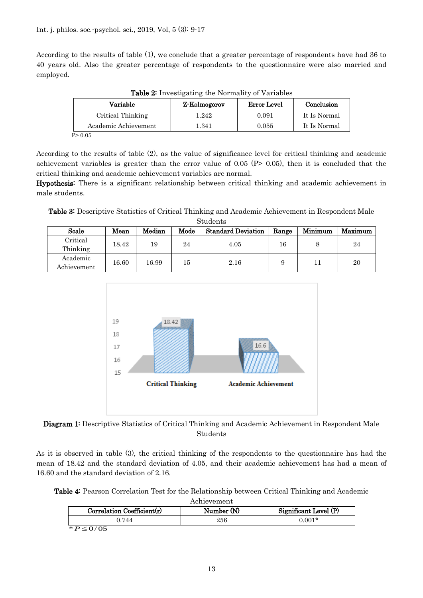According to the results of table (1), we conclude that a greater percentage of respondents have had 36 to 40 years old. Also the greater percentage of respondents to the questionnaire were also married and employed.

| Variable             | Z-Kolmogorov | Error Level | Conclusion   |  |
|----------------------|--------------|-------------|--------------|--|
| Critical Thinking    | 1.242        | 0.091       | It Is Normal |  |
| Academic Achievement | 1.341        | 0.055       | It Is Normal |  |
| P > 0.05             |              |             |              |  |

Table 2: Investigating the Normality of Variables

According to the results of table (2), as the value of significance level for critical thinking and academic achievement variables is greater than the error value of  $0.05$  (P $> 0.05$ ), then it is concluded that the critical thinking and academic achievement variables are normal.

Hypothesis: There is a significant relationship between critical thinking and academic achievement in male students.

Table 3: Descriptive Statistics of Critical Thinking and Academic Achievement in Respondent Male Students

| Scale                   | Mean  | Median | Mode | <b>Standard Deviation</b> | Range | Minimum | Maximum |
|-------------------------|-------|--------|------|---------------------------|-------|---------|---------|
| Critical<br>Thinking    | 18.42 | 19     | 24   | 4.05                      | 16    |         | 24      |
| Academic<br>Achievement | 16.60 | 16.99  | 15   | 2.16                      |       | 11      | 20      |





As it is observed in table (3), the critical thinking of the respondents to the questionnaire has had the mean of 18.42 and the standard deviation of 4.05, and their academic achievement has had a mean of 16.60 and the standard deviation of 2.16.

Table 4: Pearson Correlation Test for the Relationship between Critical Thinking and Academic

| Correlation Coefficient(r) | Number (N) | Significant Level (P) |
|----------------------------|------------|-----------------------|
| .744                       | 256        | $0.001*$              |
| $* P \le 0/05$             |            |                       |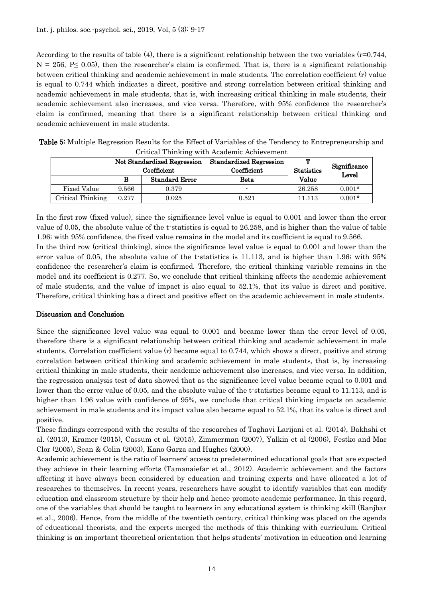According to the results of table (4), there is a significant relationship between the two variables (r=0.744,  $N = 256$ , P $\leq$  0.05), then the researcher's claim is confirmed. That is, there is a significant relationship between critical thinking and academic achievement in male students. The correlation coefficient (r) value is equal to 0.744 which indicates a direct, positive and strong correlation between critical thinking and academic achievement in male students, that is, with increasing critical thinking in male students, their academic achievement also increases, and vice versa. Therefore, with 95% confidence the researcher's claim is confirmed, meaning that there is a significant relationship between critical thinking and academic achievement in male students.

| Critical Thinking with Academic Achievement |                                            |                       |                                               |                        |                       |  |
|---------------------------------------------|--------------------------------------------|-----------------------|-----------------------------------------------|------------------------|-----------------------|--|
|                                             | Not Standardized Regression<br>Coefficient |                       | <b>Standardized Regression</b><br>Coefficient | т<br><b>Statistics</b> | Significance<br>Level |  |
|                                             | в                                          | <b>Standard Error</b> | <b>Beta</b>                                   | Value                  |                       |  |
| <b>Fixed Value</b>                          | 9.566                                      | 0.379                 |                                               | 26.258                 | $0.001*$              |  |
| Critical Thinking                           | 0.277                                      | 0.025                 | 0.521                                         | 11.113                 | $0.001*$              |  |

Table 5: Multiple Regression Results for the Effect of Variables of the Tendency to Entrepreneurship and Critical Thinking with Academic Achievement

In the first row (fixed value), since the significance level value is equal to 0.001 and lower than the error value of 0.05, the absolute value of the t-statistics is equal to 26.258, and is higher than the value of table 1.96; with 95% confidence, the fixed value remains in the model and its coefficient is equal to 9.566.

In the third row (critical thinking), since the significance level value is equal to 0.001 and lower than the error value of 0.05, the absolute value of the t-statistics is 11.113, and is higher than 1.96; with 95% confidence the researcher's claim is confirmed. Therefore, the critical thinking variable remains in the model and its coefficient is 0.277. So, we conclude that critical thinking affects the academic achievement of male students, and the value of impact is also equal to 52.1%, that its value is direct and positive. Therefore, critical thinking has a direct and positive effect on the academic achievement in male students.

#### Discussion and Conclusion

Since the significance level value was equal to 0.001 and became lower than the error level of 0.05, therefore there is a significant relationship between critical thinking and academic achievement in male students. Correlation coefficient value (r) became equal to 0.744, which shows a direct, positive and strong correlation between critical thinking and academic achievement in male students, that is, by increasing critical thinking in male students, their academic achievement also increases, and vice versa. In addition, the regression analysis test of data showed that as the significance level value became equal to 0.001 and lower than the error value of 0.05, and the absolute value of the t-statistics became equal to 11.113, and is higher than 1.96 value with confidence of 95%, we conclude that critical thinking impacts on academic achievement in male students and its impact value also became equal to 52.1%, that its value is direct and positive.

These findings correspond with the results of the researches of Taghavi Larijani et al. (2014), Bakhshi et al. (2013), Kramer (2015), Cassum et al. (2015), Zimmerman (2007), Yalkin et al (2006), Festko and Mac Clor (2005), Sean & Colin (2003), Kano Garza and Hughes (2000).

Academic achievement is the ratio of learners' access to predetermined educational goals that are expected they achieve in their learning efforts (Tamanaiefar et al., 2012). Academic achievement and the factors affecting it have always been considered by education and training experts and have allocated a lot of researches to themselves. In recent years, researchers have sought to identify variables that can modify education and classroom structure by their help and hence promote academic performance. In this regard, one of the variables that should be taught to learners in any educational system is thinking skill (Ranjbar et al., 2006). Hence, from the middle of the twentieth century, critical thinking was placed on the agenda of educational theorists, and the experts merged the methods of this thinking with curriculum. Critical thinking is an important theoretical orientation that helps students' motivation in education and learning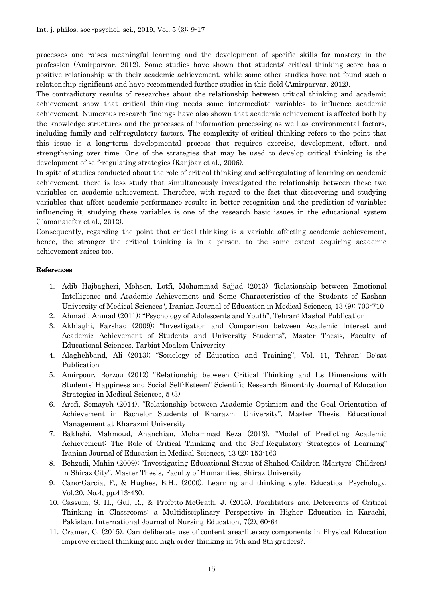processes and raises meaningful learning and the development of specific skills for mastery in the profession (Amirparvar, 2012). Some studies have shown that students' critical thinking score has a positive relationship with their academic achievement, while some other studies have not found such a relationship significant and have recommended further studies in this field (Amirparvar, 2012).

The contradictory results of researches about the relationship between critical thinking and academic achievement show that critical thinking needs some intermediate variables to influence academic achievement. Numerous research findings have also shown that academic achievement is affected both by the knowledge structures and the processes of information processing as well as environmental factors, including family and self-regulatory factors. The complexity of critical thinking refers to the point that this issue is a long-term developmental process that requires exercise, development, effort, and strengthening over time. One of the strategies that may be used to develop critical thinking is the development of self-regulating strategies (Ranjbar et al., 2006).

In spite of studies conducted about the role of critical thinking and self-regulating of learning on academic achievement, there is less study that simultaneously investigated the relationship between these two variables on academic achievement. Therefore, with regard to the fact that discovering and studying variables that affect academic performance results in better recognition and the prediction of variables influencing it, studying these variables is one of the research basic issues in the educational system (Tamanaiefar et al., 2012).

Consequently, regarding the point that critical thinking is a variable affecting academic achievement, hence, the stronger the critical thinking is in a person, to the same extent acquiring academic achievement raises too.

#### References

- 1. Adib Hajbagheri, Mohsen, Lotfi, Mohammad Sajjad (2013) "Relationship between Emotional Intelligence and Academic Achievement and Some Characteristics of the Students of Kashan University of Medical Sciences", Iranian Journal of Education in Medical Sciences, 13 (9): 703-710
- 2. Ahmadi, Ahmad (2011); "Psychology of Adolescents and Youth", Tehran: Mashal Publication
- 3. Akhlaghi, Farshad (2009); "Investigation and Comparison between Academic Interest and Academic Achievement of Students and University Students", Master Thesis, Faculty of Educational Sciences, Tarbiat Moalem University
- 4. Alaghehband, Ali (2013); "Sociology of Education and Training", Vol. 11, Tehran: Be'sat Publication
- 5. Amirpour, Borzou (2012) "Relationship between Critical Thinking and Its Dimensions with Students' Happiness and Social Self-Esteem" Scientific Research Bimonthly Journal of Education Strategies in Medical Sciences, 5 (3)
- 6. Arefi, Somayeh (2014), "Relationship between Academic Optimism and the Goal Orientation of Achievement in Bachelor Students of Kharazmi University", Master Thesis, Educational Management at Kharazmi University
- 7. Bakhshi, Mahmoud, Ahanchian, Mohammad Reza (2013), "Model of Predicting Academic Achievement: The Role of Critical Thinking and the Self-Regulatory Strategies of Learning" Iranian Journal of Education in Medical Sciences, 13 (2): 153-163
- 8. Behzadi, Mahin (2009); "Investigating Educational Status of Shahed Children (Martyrs' Children) in Shiraz City", Master Thesis, Faculty of Humanities, Shiraz University
- 9. Cano-Garcia, F., & Hughes, E.H., (2000). Learning and thinking style. Educatioal Psychology, Vol.20, No.4, pp.413-430.
- 10. Cassum, S. H., Gul, R., & Profetto-McGrath, J. (2015). Facilitators and Deterrents of Critical Thinking in Classrooms: a Multidisciplinary Perspective in Higher Education in Karachi, Pakistan. International Journal of Nursing Education, 7(2), 60-64.
- 11. Cramer, C. (2015). Can deliberate use of content area-literacy components in Physical Education improve critical thinking and high order thinking in 7th and 8th graders?.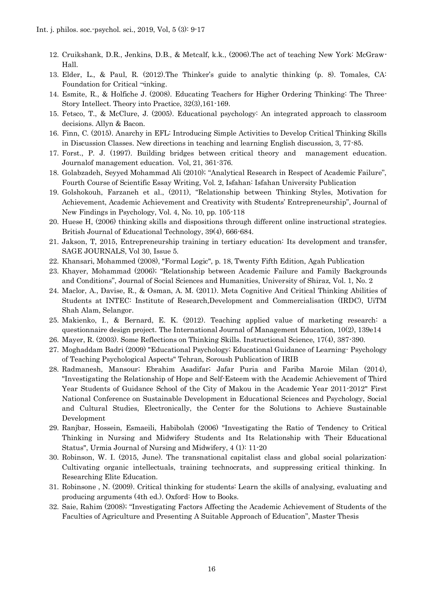- 12. Cruikshank, D.R., Jenkins, D.B., & Metcalf, k.k., (2006).The act of teaching New York: McGraw-Hall.
- 13. Elder, L., & Paul, R. (2012).The Thinker's guide to analytic thinking (p. 8). Tomales, CA: Foundation for Critical ¬inking.
- 14. Esmite, R., & Holfiche J. (2008). Educating Teachers for Higher Ordering Thinking: The Three-Story Intellect. Theory into Practice, 32(3),161-169.
- 15. Fetsco, T., & McClure, J. (2005). Educational psychology: An integrated approach to classroom decisions. Allyn & Bacon.
- 16. Finn, C. (2015). Anarchy in EFL: Introducing Simple Activities to Develop Critical Thinking Skills in Discussion Classes. New directions in teaching and learning English discussion, 3, 77-85.
- 17. Forst., P. J. (1997). Building bridges between critical theory and management education. Journalof management education. Vol, 21, 361-376.
- 18. Golabzadeh, Seyyed Mohammad Ali (2010); "Analytical Research in Respect of Academic Failure", Fourth Course of Scientific Essay Writing, Vol. 2, Isfahan: Isfahan University Publication
- 19. Golshokouh, Farzaneh et al., (2011), "Relationship between Thinking Styles, Motivation for Achievement, Academic Achievement and Creativity with Students' Entrepreneurship", Journal of New Findings in Psychology, Vol. 4, No. 10, pp. 105-118
- 20. Huese H, (2006) thinking skills and dispositions through different online instructional strategies. British Journal of Educational Technology, 39(4), 666-684.
- 21. Jakson, T, 2015, Entrepreneurship training in tertiary education: Its development and transfer, SAGE JOURNALS, Vol 30, Issue 5.
- 22. Khansari, Mohammed (2008), "Formal Logic", p. 18, Twenty Fifth Edition, Agah Publication
- 23. Khayer, Mohammad (2006); "Relationship between Academic Failure and Family Backgrounds and Conditions", Journal of Social Sciences and Humanities, University of Shiraz, Vol. 1, No. 2
- 24. Maclor, A., Davise, R., & Osman, A. M. (2011). Meta Cognitive And Critical Thinking Abilities of Students at INTEC: Institute of Research,Development and Commercialisation (IRDC), UiTM Shah Alam, Selangor.
- 25. Makienko, I., & Bernard, E. K. (2012). Teaching applied value of marketing research: a questionnaire design project. The International Journal of Management Education, 10(2), 139e14
- 26. Mayer, R. (2003). Some Reflections on Thinking Skills. Instructional Science, 17(4), 387-390.
- 27. Moghaddam Badri (2009) "Educational Psychology; Educational Guidance of Learning- Psychology of Teaching Psychological Aspects" Tehran, Soroush Publication of IRIB
- 28. Radmanesh, Mansour; Ebrahim Asadifar; Jafar Puria and Fariba Maroie Milan (2014), "Investigating the Relationship of Hope and Self-Esteem with the Academic Achievement of Third Year Students of Guidance School of the City of Makou in the Academic Year 2011-2012" First National Conference on Sustainable Development in Educational Sciences and Psychology, Social and Cultural Studies, Electronically, the Center for the Solutions to Achieve Sustainable Development
- 29. Ranjbar, Hossein, Esmaeili, Habibolah (2006) "Investigating the Ratio of Tendency to Critical Thinking in Nursing and Midwifery Students and Its Relationship with Their Educational Status", Urmia Journal of Nursing and Midwifery, 4 (1): 11-20
- 30. Robinson, W. I. (2015, June). The transnational capitalist class and global social polarization: Cultivating organic intellectuals, training technocrats, and suppressing critical thinking. In Researching Elite Education.
- 31. Robinsone , N. (2009). Critical thinking for students: Learn the skills of analysing, evaluating and producing arguments (4th ed.). Oxford: How to Books.
- 32. Saie, Rahim (2008); "Investigating Factors Affecting the Academic Achievement of Students of the Faculties of Agriculture and Presenting A Suitable Approach of Education", Master Thesis